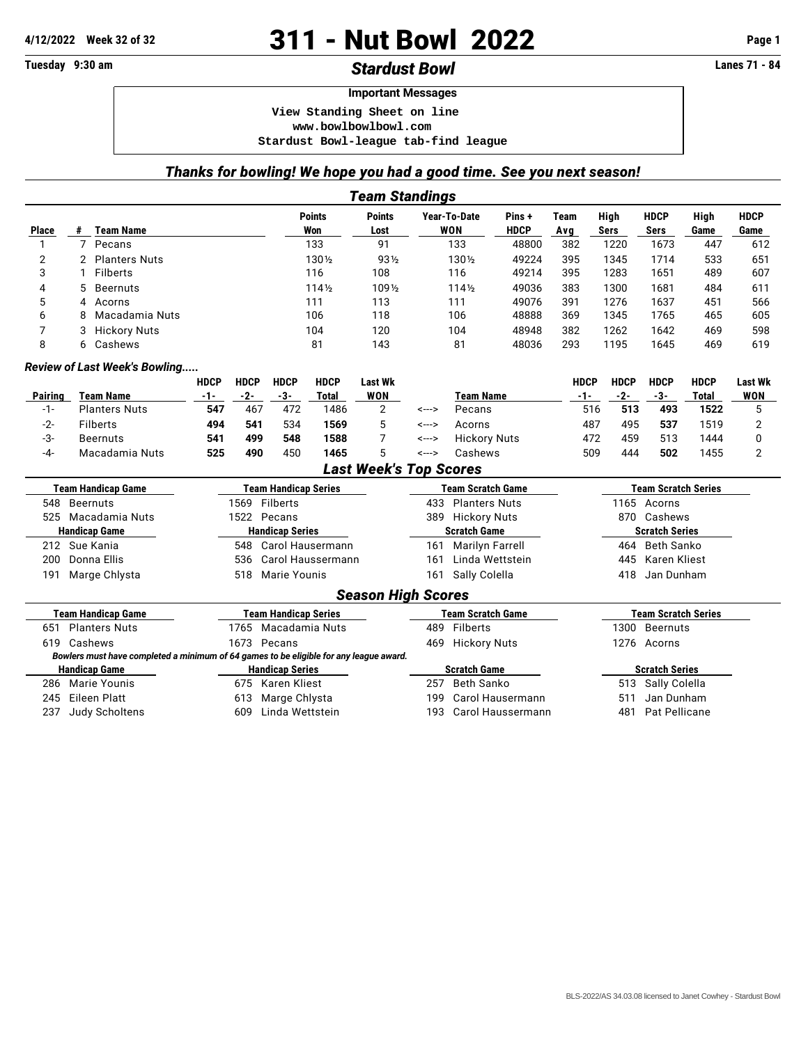## **4/12/2022 Week 32 of 32** 311 - Nut Bowl 2022 **Page 1**

## **Tuesday 9:30 am** *Stardust Bowl* **Lanes 71 - 84**

## **Important Messages**

 **View Standing Sheet on line**

 **<www.bowlbowlbowl.com>**

 **Stardust Bowl-league tab-find league**

## *Thanks for bowling! We hope you had a good time. See you next season!*

|                           |                                                                                        |                                 |                             |                             |                         | <b>Team Standings</b>         |       |                            |                         |                  |                            |                            |              |                     |  |
|---------------------------|----------------------------------------------------------------------------------------|---------------------------------|-----------------------------|-----------------------------|-------------------------|-------------------------------|-------|----------------------------|-------------------------|------------------|----------------------------|----------------------------|--------------|---------------------|--|
| <b>Place</b>              | <b>Team Name</b><br>#                                                                  |                                 |                             |                             | <b>Points</b><br>Won    | <b>Points</b><br>Lost         |       | Year-To-Date<br><b>WON</b> | Pins+<br><b>HDCP</b>    | Team<br>Avg      | High<br><b>Sers</b>        | <b>HDCP</b><br><b>Sers</b> | High<br>Game | <b>HDCP</b><br>Game |  |
| $\mathbf{1}$              | $\overline{7}$<br>Pecans                                                               |                                 |                             |                             | 133                     | 91                            |       | 133                        | 48800                   | 382              | 1220                       | 1673                       | 447          | 612                 |  |
| $\overline{2}$            | <b>Planters Nuts</b><br>2                                                              |                                 |                             |                             | 1301/2                  | 931/2                         |       | 1301/2                     | 49224                   | 395              | 1345                       | 1714                       | 533          | 651                 |  |
| 3                         | <b>Filberts</b><br>1                                                                   |                                 |                             |                             | 116                     | 108                           |       | 116                        | 49214                   | 395              | 1283                       | 1651                       | 489          | 607                 |  |
| 4                         | 5<br><b>Beernuts</b>                                                                   |                                 |                             |                             | $114\frac{1}{2}$        | 1091/2                        |       | $114\frac{1}{2}$           | 49036                   | 383              | 1300                       | 1681                       | 484          | 611                 |  |
| 5                         | Acorns<br>4                                                                            |                                 |                             |                             | 111                     | 113                           |       | 111                        | 49076                   | 391              | 1276                       | 1637                       | 451          | 566                 |  |
| 6                         | Macadamia Nuts<br>8                                                                    |                                 |                             |                             | 106                     | 118                           |       | 106                        | 48888                   | 369              | 1345                       | 1765                       | 465          | 605                 |  |
| $\overline{7}$            | <b>Hickory Nuts</b><br>3                                                               |                                 |                             |                             | 104                     | 120                           |       | 104                        | 48948                   | 382              | 1262                       | 1642                       | 469          | 598                 |  |
| 8                         | Cashews<br>6                                                                           |                                 |                             |                             | 81                      | 143                           |       | 81                         | 48036                   | 293              | 1195                       | 1645                       | 469          | 619                 |  |
|                           | Review of Last Week's Bowling                                                          |                                 |                             |                             |                         |                               |       |                            |                         |                  |                            |                            |              |                     |  |
|                           |                                                                                        | <b>HDCP</b>                     | <b>HDCP</b>                 | <b>HDCP</b>                 | <b>HDCP</b>             | <b>Last Wk</b>                |       |                            |                         | <b>HDCP</b>      | <b>HDCP</b>                | <b>HDCP</b>                | <b>HDCP</b>  | <b>Last Wk</b>      |  |
| <b>Pairing</b>            | <b>Team Name</b>                                                                       | $-1-$                           | $-2-$                       | $-3-$                       | <b>Total</b>            | <b>WON</b>                    |       | <b>Team Name</b>           |                         | $-1-$            | $-2-$                      | $-3-$                      | <b>Total</b> | <b>WON</b>          |  |
| $-1-$                     | <b>Planters Nuts</b>                                                                   | 547                             | 467                         | 472                         | 1486                    | 2                             | <---> | Pecans                     |                         | 516              | 513                        | 493                        | 1522         | 5                   |  |
| $-2-$                     | <b>Filberts</b>                                                                        | 494                             | 541                         | 534                         | 1569                    | 5                             | <---> | Acorns                     |                         | 487              | 495                        | 537                        | 1519         | 2                   |  |
| $-3-$                     | <b>Beernuts</b>                                                                        | 541                             | 499                         | 548                         | 1588                    | 7                             | <---> | <b>Hickory Nuts</b>        |                         | 472              | 459                        | 513                        | 1444         | 0                   |  |
| $-4-$                     | Macadamia Nuts                                                                         | 525                             | 490                         | 450                         | 1465                    | 5                             | <---> | Cashews                    |                         | 509              | 444                        | 502                        | 1455         | $\overline{2}$      |  |
|                           |                                                                                        |                                 |                             |                             |                         | <b>Last Week's Top Scores</b> |       |                            |                         |                  |                            |                            |              |                     |  |
| <b>Team Handicap Game</b> |                                                                                        |                                 | <b>Team Handicap Series</b> |                             |                         |                               |       | <b>Team Scratch Game</b>   |                         |                  | <b>Team Scratch Series</b> |                            |              |                     |  |
|                           | 548 Beernuts                                                                           |                                 |                             | 1569 Filberts               |                         |                               | 433   | <b>Planters Nuts</b>       |                         |                  |                            | 1165 Acorns                |              |                     |  |
| 525                       | Macadamia Nuts                                                                         |                                 | 1522 Pecans                 |                             |                         |                               | 389   | <b>Hickory Nuts</b>        |                         |                  | 870 Cashews                |                            |              |                     |  |
| <b>Handicap Game</b>      |                                                                                        |                                 | <b>Handicap Series</b>      |                             |                         |                               |       | <b>Scratch Game</b>        |                         |                  | <b>Scratch Series</b>      |                            |              |                     |  |
|                           | 212 Sue Kania                                                                          |                                 | 548                         |                             | <b>Carol Hausermann</b> |                               | 161   | <b>Marilyn Farrell</b>     |                         |                  | 464                        | <b>Beth Sanko</b>          |              |                     |  |
| 200                       | Donna Ellis                                                                            | <b>Carol Haussermann</b><br>536 |                             |                             |                         |                               | 161   | Linda Wettstein            |                         |                  |                            | 445<br>Karen Kliest        |              |                     |  |
| 191                       | Marge Chlysta                                                                          |                                 | 518                         | Marie Younis                |                         |                               | 161   | Sally Colella              |                         |                  | 418                        | Jan Dunham                 |              |                     |  |
|                           |                                                                                        |                                 |                             |                             |                         | <b>Season High Scores</b>     |       |                            |                         |                  |                            |                            |              |                     |  |
|                           | <b>Team Handicap Game</b>                                                              |                                 |                             | <b>Team Handicap Series</b> |                         |                               |       | <b>Team Scratch Game</b>   |                         |                  |                            | <b>Team Scratch Series</b> |              |                     |  |
| 651                       | <b>Planters Nuts</b><br>Macadamia Nuts<br>1765                                         |                                 |                             |                             |                         | <b>Filberts</b><br>489        |       |                            |                         | Beernuts<br>1300 |                            |                            |              |                     |  |
| 619                       | Cashews<br>1673 Pecans                                                                 |                                 |                             |                             |                         | 469<br><b>Hickory Nuts</b>    |       |                            |                         | 1276 Acorns      |                            |                            |              |                     |  |
|                           | Bowlers must have completed a minimum of 64 games to be eligible for any league award. |                                 |                             |                             |                         |                               |       |                            |                         |                  |                            |                            |              |                     |  |
| <b>Handicap Game</b>      |                                                                                        |                                 | <b>Handicap Series</b>      |                             |                         |                               |       | <b>Scratch Game</b>        |                         |                  | <b>Scratch Series</b>      |                            |              |                     |  |
| 286                       | <b>Marie Younis</b>                                                                    |                                 | 675                         | Karen Kliest                |                         |                               | 257   | <b>Beth Sanko</b>          |                         |                  |                            | 513 Sally Colella          |              |                     |  |
| 245                       | <b>Eileen Platt</b>                                                                    |                                 | 613                         | Marge Chlysta               |                         |                               | 199   |                            | <b>Carol Hausermann</b> |                  | 511                        | Jan Dunham                 |              |                     |  |
| 237                       | Judy Scholtens                                                                         |                                 | 609                         | Linda Wettstein             |                         |                               | 193   | Carol Haussermann          |                         |                  | 481<br>Pat Pellicane       |                            |              |                     |  |